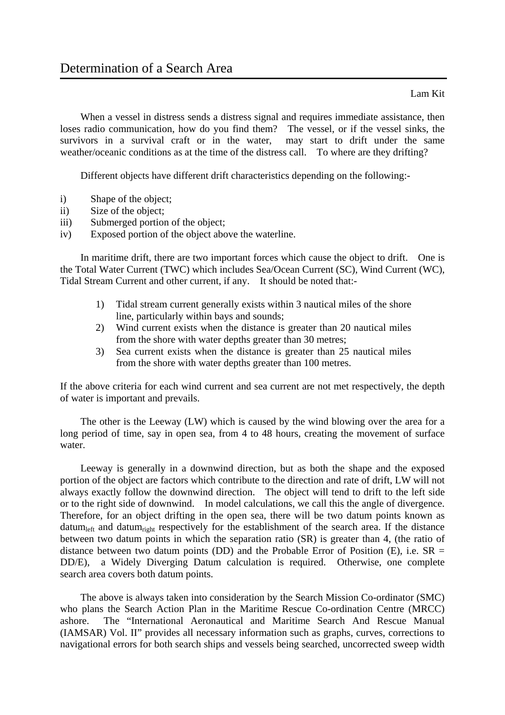## Lam Kit

 When a vessel in distress sends a distress signal and requires immediate assistance, then loses radio communication, how do you find them? The vessel, or if the vessel sinks, the survivors in a survival craft or in the water, may start to drift under the same weather/oceanic conditions as at the time of the distress call. To where are they drifting?

Different objects have different drift characteristics depending on the following:-

- i) Shape of the object;
- ii) Size of the object;
- iii) Submerged portion of the object;
- iv) Exposed portion of the object above the waterline.

 In maritime drift, there are two important forces which cause the object to drift. One is the Total Water Current (TWC) which includes Sea/Ocean Current (SC), Wind Current (WC), Tidal Stream Current and other current, if any. It should be noted that:-

- 1) Tidal stream current generally exists within 3 nautical miles of the shore line, particularly within bays and sounds;
- 2) Wind current exists when the distance is greater than 20 nautical miles from the shore with water depths greater than 30 metres;
- 3) Sea current exists when the distance is greater than 25 nautical miles from the shore with water depths greater than 100 metres.

If the above criteria for each wind current and sea current are not met respectively, the depth of water is important and prevails.

The other is the Leeway (LW) which is caused by the wind blowing over the area for a long period of time, say in open sea, from 4 to 48 hours, creating the movement of surface water.

 Leeway is generally in a downwind direction, but as both the shape and the exposed portion of the object are factors which contribute to the direction and rate of drift, LW will not always exactly follow the downwind direction. The object will tend to drift to the left side or to the right side of downwind. In model calculations, we call this the angle of divergence. Therefore, for an object drifting in the open sea, there will be two datum points known as  $\text{datum}_{\text{left}}$  and datum<sub>right</sub> respectively for the establishment of the search area. If the distance between two datum points in which the separation ratio (SR) is greater than 4, (the ratio of distance between two datum points (DD) and the Probable Error of Position (E), i.e.  $SR =$ DD/E), a Widely Diverging Datum calculation is required. Otherwise, one complete search area covers both datum points.

 The above is always taken into consideration by the Search Mission Co-ordinator (SMC) who plans the Search Action Plan in the Maritime Rescue Co-ordination Centre (MRCC) ashore. The "International Aeronautical and Maritime Search And Rescue Manual (IAMSAR) Vol. II" provides all necessary information such as graphs, curves, corrections to navigational errors for both search ships and vessels being searched, uncorrected sweep width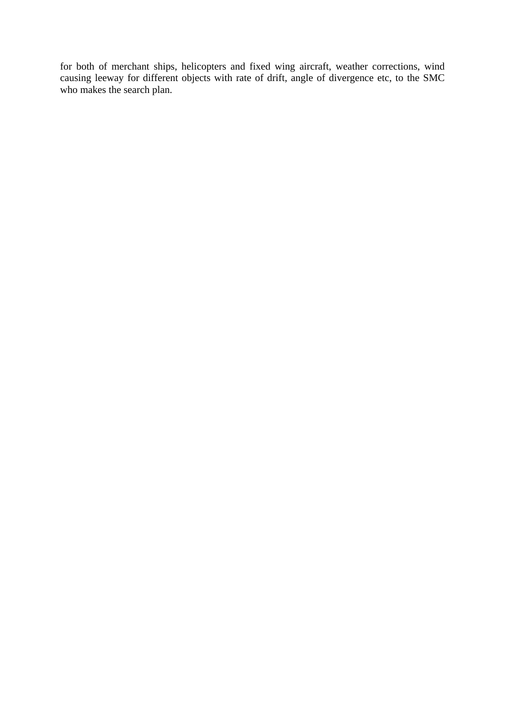for both of merchant ships, helicopters and fixed wing aircraft, weather corrections, wind causing leeway for different objects with rate of drift, angle of divergence etc, to the SMC who makes the search plan.